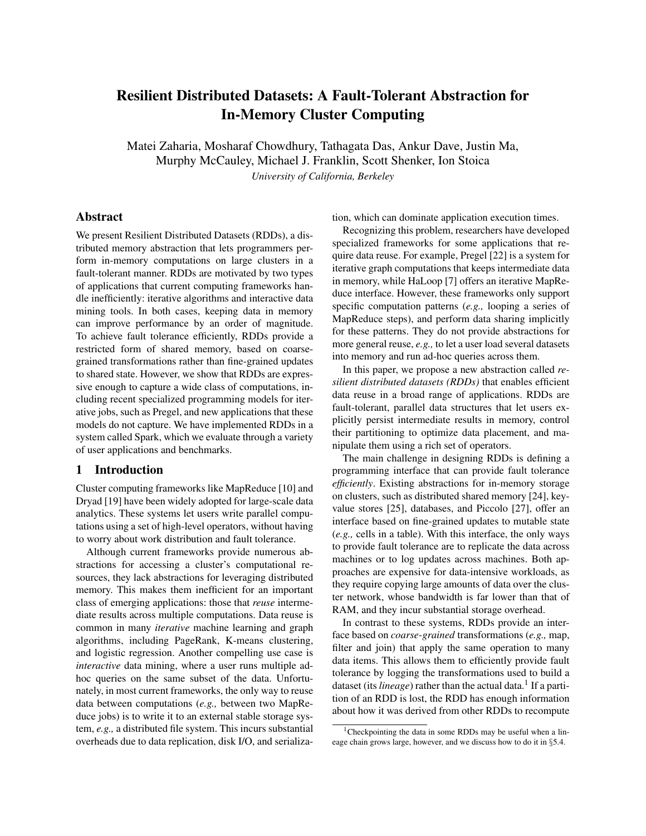# Resilient Distributed Datasets: A Fault-Tolerant Abstraction for In-Memory Cluster Computing

Matei Zaharia, Mosharaf Chowdhury, Tathagata Das, Ankur Dave, Justin Ma, Murphy McCauley, Michael J. Franklin, Scott Shenker, Ion Stoica *University of California, Berkeley*

# Abstract

We present Resilient Distributed Datasets (RDDs), a distributed memory abstraction that lets programmers perform in-memory computations on large clusters in a fault-tolerant manner. RDDs are motivated by two types of applications that current computing frameworks handle inefficiently: iterative algorithms and interactive data mining tools. In both cases, keeping data in memory can improve performance by an order of magnitude. To achieve fault tolerance efficiently, RDDs provide a restricted form of shared memory, based on coarsegrained transformations rather than fine-grained updates to shared state. However, we show that RDDs are expressive enough to capture a wide class of computations, including recent specialized programming models for iterative jobs, such as Pregel, and new applications that these models do not capture. We have implemented RDDs in a system called Spark, which we evaluate through a variety of user applications and benchmarks.

# 1 Introduction

Cluster computing frameworks like MapReduce [10] and Dryad [19] have been widely adopted for large-scale data analytics. These systems let users write parallel computations using a set of high-level operators, without having to worry about work distribution and fault tolerance.

Although current frameworks provide numerous abstractions for accessing a cluster's computational resources, they lack abstractions for leveraging distributed memory. This makes them inefficient for an important class of emerging applications: those that *reuse* intermediate results across multiple computations. Data reuse is common in many *iterative* machine learning and graph algorithms, including PageRank, K-means clustering, and logistic regression. Another compelling use case is *interactive* data mining, where a user runs multiple adhoc queries on the same subset of the data. Unfortunately, in most current frameworks, the only way to reuse data between computations (*e.g.,* between two MapReduce jobs) is to write it to an external stable storage system, *e.g.,* a distributed file system. This incurs substantial overheads due to data replication, disk I/O, and serialization, which can dominate application execution times.

Recognizing this problem, researchers have developed specialized frameworks for some applications that require data reuse. For example, Pregel [22] is a system for iterative graph computations that keeps intermediate data in memory, while HaLoop [7] offers an iterative MapReduce interface. However, these frameworks only support specific computation patterns (*e.g.,* looping a series of MapReduce steps), and perform data sharing implicitly for these patterns. They do not provide abstractions for more general reuse, *e.g.,* to let a user load several datasets into memory and run ad-hoc queries across them.

In this paper, we propose a new abstraction called *resilient distributed datasets (RDDs)* that enables efficient data reuse in a broad range of applications. RDDs are fault-tolerant, parallel data structures that let users explicitly persist intermediate results in memory, control their partitioning to optimize data placement, and manipulate them using a rich set of operators.

The main challenge in designing RDDs is defining a programming interface that can provide fault tolerance *efficiently*. Existing abstractions for in-memory storage on clusters, such as distributed shared memory [24], keyvalue stores [25], databases, and Piccolo [27], offer an interface based on fine-grained updates to mutable state (*e.g.,* cells in a table). With this interface, the only ways to provide fault tolerance are to replicate the data across machines or to log updates across machines. Both approaches are expensive for data-intensive workloads, as they require copying large amounts of data over the cluster network, whose bandwidth is far lower than that of RAM, and they incur substantial storage overhead.

In contrast to these systems, RDDs provide an interface based on *coarse-grained* transformations (*e.g.,* map, filter and join) that apply the same operation to many data items. This allows them to efficiently provide fault tolerance by logging the transformations used to build a dataset (its *lineage*) rather than the actual data.<sup>1</sup> If a partition of an RDD is lost, the RDD has enough information about how it was derived from other RDDs to recompute

<sup>&</sup>lt;sup>1</sup>Checkpointing the data in some RDDs may be useful when a lineage chain grows large, however, and we discuss how to do it in §5.4.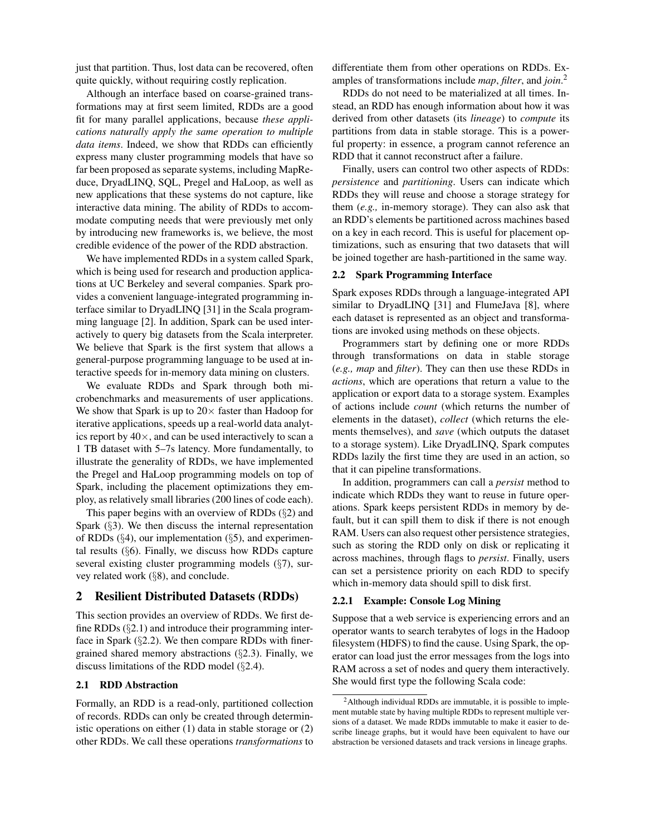just that partition. Thus, lost data can be recovered, often quite quickly, without requiring costly replication.

Although an interface based on coarse-grained transformations may at first seem limited, RDDs are a good fit for many parallel applications, because *these applications naturally apply the same operation to multiple data items*. Indeed, we show that RDDs can efficiently express many cluster programming models that have so far been proposed as separate systems, including MapReduce, DryadLINQ, SQL, Pregel and HaLoop, as well as new applications that these systems do not capture, like interactive data mining. The ability of RDDs to accommodate computing needs that were previously met only by introducing new frameworks is, we believe, the most credible evidence of the power of the RDD abstraction.

We have implemented RDDs in a system called Spark, which is being used for research and production applications at UC Berkeley and several companies. Spark provides a convenient language-integrated programming interface similar to DryadLINQ [31] in the Scala programming language [2]. In addition, Spark can be used interactively to query big datasets from the Scala interpreter. We believe that Spark is the first system that allows a general-purpose programming language to be used at interactive speeds for in-memory data mining on clusters.

We evaluate RDDs and Spark through both microbenchmarks and measurements of user applications. We show that Spark is up to  $20 \times$  faster than Hadoop for iterative applications, speeds up a real-world data analytics report by  $40\times$ , and can be used interactively to scan a 1 TB dataset with 5–7s latency. More fundamentally, to illustrate the generality of RDDs, we have implemented the Pregel and HaLoop programming models on top of Spark, including the placement optimizations they employ, as relatively small libraries (200 lines of code each).

This paper begins with an overview of RDDs (§2) and Spark (§3). We then discuss the internal representation of RDDs  $(\S4)$ , our implementation  $(\S5)$ , and experimental results (§6). Finally, we discuss how RDDs capture several existing cluster programming models (§7), survey related work (§8), and conclude.

# 2 Resilient Distributed Datasets (RDDs)

This section provides an overview of RDDs. We first define RDDs  $(\S 2.1)$  and introduce their programming interface in Spark  $(\S2.2)$ . We then compare RDDs with finergrained shared memory abstractions (§2.3). Finally, we discuss limitations of the RDD model (§2.4).

### 2.1 RDD Abstraction

Formally, an RDD is a read-only, partitioned collection of records. RDDs can only be created through deterministic operations on either (1) data in stable storage or (2) other RDDs. We call these operations *transformations* to differentiate them from other operations on RDDs. Examples of transformations include *map*, *filter*, and *join*. 2

RDDs do not need to be materialized at all times. Instead, an RDD has enough information about how it was derived from other datasets (its *lineage*) to *compute* its partitions from data in stable storage. This is a powerful property: in essence, a program cannot reference an RDD that it cannot reconstruct after a failure.

Finally, users can control two other aspects of RDDs: *persistence* and *partitioning*. Users can indicate which RDDs they will reuse and choose a storage strategy for them (*e.g.,* in-memory storage). They can also ask that an RDD's elements be partitioned across machines based on a key in each record. This is useful for placement optimizations, such as ensuring that two datasets that will be joined together are hash-partitioned in the same way.

#### 2.2 Spark Programming Interface

Spark exposes RDDs through a language-integrated API similar to DryadLINQ [31] and FlumeJava [8], where each dataset is represented as an object and transformations are invoked using methods on these objects.

Programmers start by defining one or more RDDs through transformations on data in stable storage (*e.g., map* and *filter*). They can then use these RDDs in *actions*, which are operations that return a value to the application or export data to a storage system. Examples of actions include *count* (which returns the number of elements in the dataset), *collect* (which returns the elements themselves), and *save* (which outputs the dataset to a storage system). Like DryadLINQ, Spark computes RDDs lazily the first time they are used in an action, so that it can pipeline transformations.

In addition, programmers can call a *persist* method to indicate which RDDs they want to reuse in future operations. Spark keeps persistent RDDs in memory by default, but it can spill them to disk if there is not enough RAM. Users can also request other persistence strategies, such as storing the RDD only on disk or replicating it across machines, through flags to *persist*. Finally, users can set a persistence priority on each RDD to specify which in-memory data should spill to disk first.

#### 2.2.1 Example: Console Log Mining

Suppose that a web service is experiencing errors and an operator wants to search terabytes of logs in the Hadoop filesystem (HDFS) to find the cause. Using Spark, the operator can load just the error messages from the logs into RAM across a set of nodes and query them interactively. She would first type the following Scala code:

<sup>2</sup>Although individual RDDs are immutable, it is possible to implement mutable state by having multiple RDDs to represent multiple versions of a dataset. We made RDDs immutable to make it easier to describe lineage graphs, but it would have been equivalent to have our abstraction be versioned datasets and track versions in lineage graphs.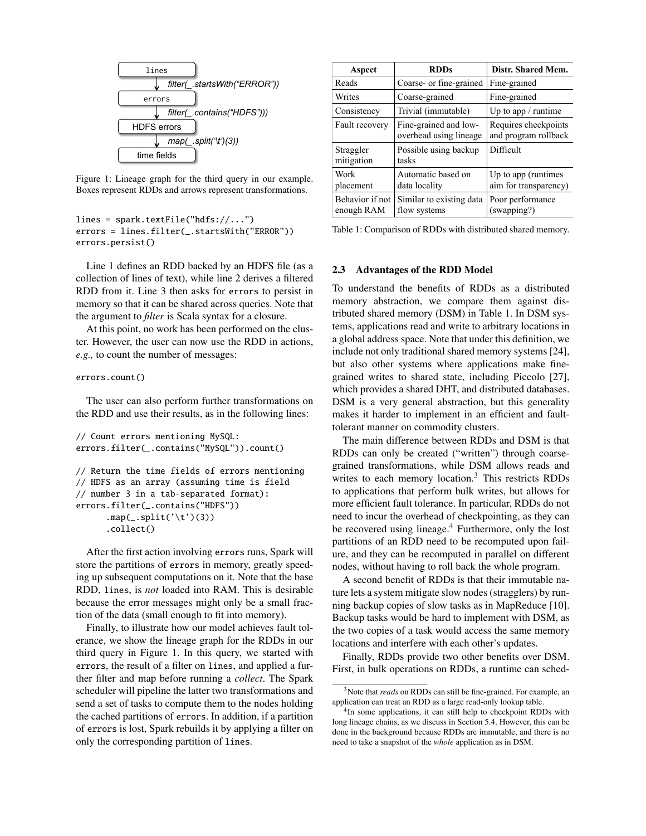

Figure 1: Lineage graph for the third query in our example. Boxes represent RDDs and arrows represent transformations.

```
lines = spark.textFile("hdfs://...")
errors = lines.filter(_.startsWith("ERROR"))
errors.persist()
```
Line 1 defines an RDD backed by an HDFS file (as a collection of lines of text), while line 2 derives a filtered RDD from it. Line 3 then asks for errors to persist in memory so that it can be shared across queries. Note that the argument to *filter* is Scala syntax for a closure.

At this point, no work has been performed on the cluster. However, the user can now use the RDD in actions, *e.g.,* to count the number of messages:

#### errors.count()

The user can also perform further transformations on the RDD and use their results, as in the following lines:

```
// Count errors mentioning MySQL:
errors.filter(_.contains("MySQL")).count()
// Return the time fields of errors mentioning
// HDFS as an array (assuming time is field
// number 3 in a tab-separated format):
errors.filter(_.contains("HDFS"))
      .map(\_.split('\t')(3))
      .collect()
```
After the first action involving errors runs, Spark will store the partitions of errors in memory, greatly speeding up subsequent computations on it. Note that the base RDD, lines, is *not* loaded into RAM. This is desirable because the error messages might only be a small fraction of the data (small enough to fit into memory).

Finally, to illustrate how our model achieves fault tolerance, we show the lineage graph for the RDDs in our third query in Figure 1. In this query, we started with errors, the result of a filter on lines, and applied a further filter and map before running a *collect*. The Spark scheduler will pipeline the latter two transformations and send a set of tasks to compute them to the nodes holding the cached partitions of errors. In addition, if a partition of errors is lost, Spark rebuilds it by applying a filter on only the corresponding partition of lines.

| Aspect                        | <b>RDDs</b>                                     | Distr. Shared Mem.                           |
|-------------------------------|-------------------------------------------------|----------------------------------------------|
| Reads                         | Coarse- or fine-grained                         | Fine-grained                                 |
| Writes                        | Coarse-grained                                  | Fine-grained                                 |
| Consistency                   | Trivial (immutable)                             | Up to app / runtime                          |
| Fault recovery                | Fine-grained and low-<br>overhead using lineage | Requires checkpoints<br>and program rollback |
| Straggler<br>mitigation       | Possible using backup<br>tasks                  | Difficult                                    |
| Work<br>placement             | Automatic based on<br>data locality             | Up to app (runtimes<br>aim for transparency) |
| Behavior if not<br>enough RAM | Similar to existing data<br>flow systems        | Poor performance<br>(swapping?)              |

Table 1: Comparison of RDDs with distributed shared memory.

### 2.3 Advantages of the RDD Model

To understand the benefits of RDDs as a distributed memory abstraction, we compare them against distributed shared memory (DSM) in Table 1. In DSM systems, applications read and write to arbitrary locations in a global address space. Note that under this definition, we include not only traditional shared memory systems [24], but also other systems where applications make finegrained writes to shared state, including Piccolo [27], which provides a shared DHT, and distributed databases. DSM is a very general abstraction, but this generality makes it harder to implement in an efficient and faulttolerant manner on commodity clusters.

The main difference between RDDs and DSM is that RDDs can only be created ("written") through coarsegrained transformations, while DSM allows reads and writes to each memory location.<sup>3</sup> This restricts RDDs to applications that perform bulk writes, but allows for more efficient fault tolerance. In particular, RDDs do not need to incur the overhead of checkpointing, as they can be recovered using lineage.<sup>4</sup> Furthermore, only the lost partitions of an RDD need to be recomputed upon failure, and they can be recomputed in parallel on different nodes, without having to roll back the whole program.

A second benefit of RDDs is that their immutable nature lets a system mitigate slow nodes (stragglers) by running backup copies of slow tasks as in MapReduce [10]. Backup tasks would be hard to implement with DSM, as the two copies of a task would access the same memory locations and interfere with each other's updates.

Finally, RDDs provide two other benefits over DSM. First, in bulk operations on RDDs, a runtime can sched-

<sup>3</sup>Note that *reads* on RDDs can still be fine-grained. For example, an application can treat an RDD as a large read-only lookup table.

<sup>&</sup>lt;sup>4</sup>In some applications, it can still help to checkpoint RDDs with long lineage chains, as we discuss in Section 5.4. However, this can be done in the background because RDDs are immutable, and there is no need to take a snapshot of the *whole* application as in DSM.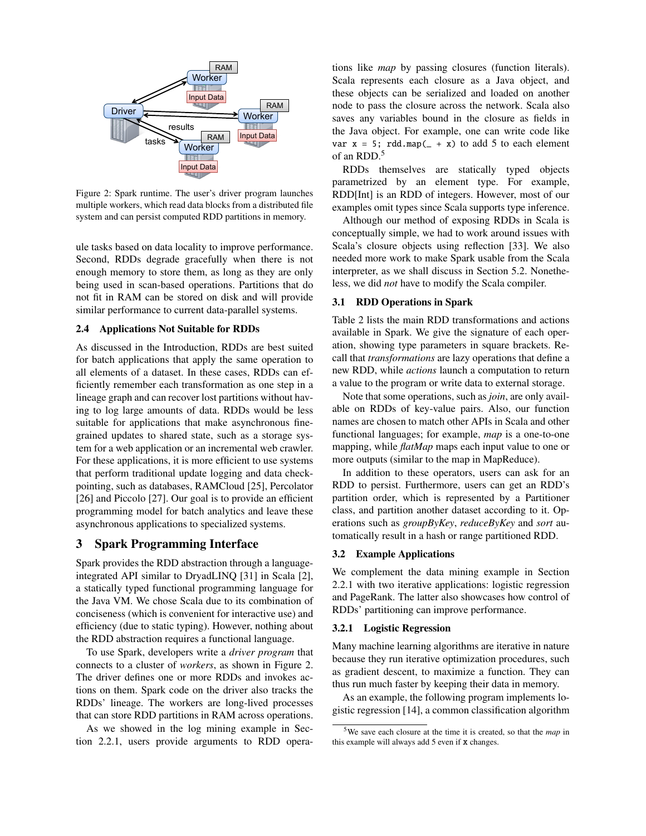

Figure 2: Spark runtime. The user's driver program launches multiple workers, which read data blocks from a distributed file system and can persist computed RDD partitions in memory.

ule tasks based on data locality to improve performance. Second, RDDs degrade gracefully when there is not enough memory to store them, as long as they are only being used in scan-based operations. Partitions that do not fit in RAM can be stored on disk and will provide similar performance to current data-parallel systems.

### 2.4 Applications Not Suitable for RDDs

As discussed in the Introduction, RDDs are best suited for batch applications that apply the same operation to all elements of a dataset. In these cases, RDDs can efficiently remember each transformation as one step in a lineage graph and can recover lost partitions without having to log large amounts of data. RDDs would be less suitable for applications that make asynchronous finegrained updates to shared state, such as a storage system for a web application or an incremental web crawler. For these applications, it is more efficient to use systems that perform traditional update logging and data checkpointing, such as databases, RAMCloud [25], Percolator [26] and Piccolo [27]. Our goal is to provide an efficient programming model for batch analytics and leave these asynchronous applications to specialized systems.

# 3 Spark Programming Interface

Spark provides the RDD abstraction through a languageintegrated API similar to DryadLINQ [31] in Scala [2], a statically typed functional programming language for the Java VM. We chose Scala due to its combination of conciseness (which is convenient for interactive use) and efficiency (due to static typing). However, nothing about the RDD abstraction requires a functional language.

To use Spark, developers write a *driver program* that connects to a cluster of *workers*, as shown in Figure 2. The driver defines one or more RDDs and invokes actions on them. Spark code on the driver also tracks the RDDs' lineage. The workers are long-lived processes that can store RDD partitions in RAM across operations.

As we showed in the log mining example in Section 2.2.1, users provide arguments to RDD operations like *map* by passing closures (function literals). Scala represents each closure as a Java object, and these objects can be serialized and loaded on another node to pass the closure across the network. Scala also saves any variables bound in the closure as fields in the Java object. For example, one can write code like var  $x = 5$ ; rdd.map( $- + x$ ) to add 5 to each element of an RDD.<sup>5</sup>

RDDs themselves are statically typed objects parametrized by an element type. For example, RDD[Int] is an RDD of integers. However, most of our examples omit types since Scala supports type inference.

Although our method of exposing RDDs in Scala is conceptually simple, we had to work around issues with Scala's closure objects using reflection [33]. We also needed more work to make Spark usable from the Scala interpreter, as we shall discuss in Section 5.2. Nonetheless, we did *not* have to modify the Scala compiler.

# 3.1 RDD Operations in Spark

Table 2 lists the main RDD transformations and actions available in Spark. We give the signature of each operation, showing type parameters in square brackets. Recall that *transformations* are lazy operations that define a new RDD, while *actions* launch a computation to return a value to the program or write data to external storage.

Note that some operations, such as *join*, are only available on RDDs of key-value pairs. Also, our function names are chosen to match other APIs in Scala and other functional languages; for example, *map* is a one-to-one mapping, while *flatMap* maps each input value to one or more outputs (similar to the map in MapReduce).

In addition to these operators, users can ask for an RDD to persist. Furthermore, users can get an RDD's partition order, which is represented by a Partitioner class, and partition another dataset according to it. Operations such as *groupByKey*, *reduceByKey* and *sort* automatically result in a hash or range partitioned RDD.

#### 3.2 Example Applications

We complement the data mining example in Section 2.2.1 with two iterative applications: logistic regression and PageRank. The latter also showcases how control of RDDs' partitioning can improve performance.

#### 3.2.1 Logistic Regression

Many machine learning algorithms are iterative in nature because they run iterative optimization procedures, such as gradient descent, to maximize a function. They can thus run much faster by keeping their data in memory.

As an example, the following program implements logistic regression [14], a common classification algorithm

<sup>5</sup>We save each closure at the time it is created, so that the *map* in this example will always add 5 even if x changes.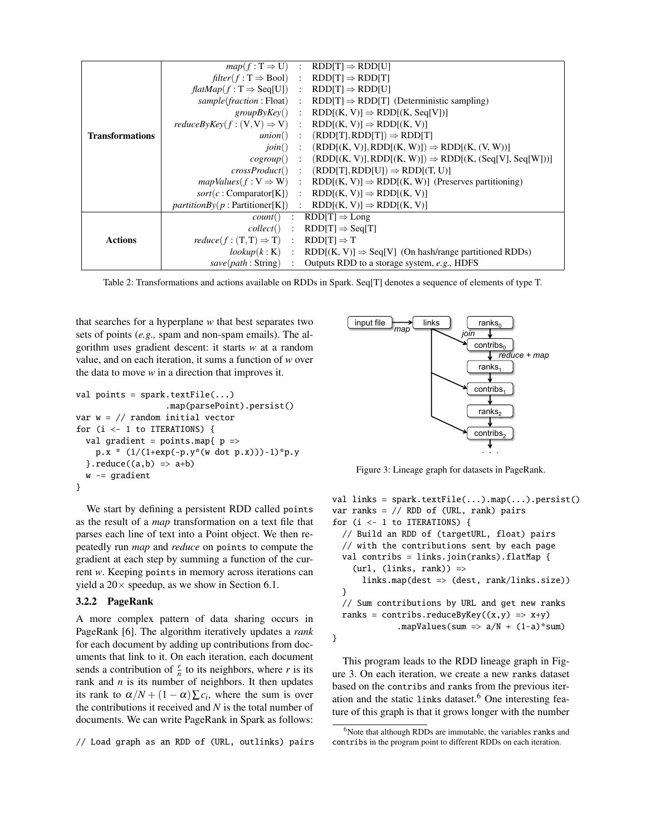|                        |                                                                                    | $map(f: T \Rightarrow U)$ : RDD[T] $\Rightarrow$ RDD[U]                                          |
|------------------------|------------------------------------------------------------------------------------|--------------------------------------------------------------------------------------------------|
|                        | $filter(f: T \Rightarrow Bool)$ : $RDD[T] \Rightarrow RDD[T]$                      |                                                                                                  |
|                        | $\text{flatMap}(f : \mathbb{T} \Rightarrow \text{Seq}[\mathbb{U}])$ :              | $RDD[T] \Rightarrow RDD[U]$                                                                      |
|                        | $sample(fraction : Float)$ :                                                       | $RDD[T] \Rightarrow RDD[T]$ (Deterministic sampling)                                             |
|                        |                                                                                    | $groupByKey()$ : RDD $[(K, V)] \Rightarrow RDD[(K, Seq[V])]$                                     |
|                        | $reduceByKey(f : (V, V) \Rightarrow V)$ : $RDD[(K, V)] \Rightarrow RDD[(K, V)]$    |                                                                                                  |
| <b>Transformations</b> |                                                                                    | <i>union</i> () : $(RDD[T], RDD[T]) \Rightarrow RDD[T]$                                          |
|                        | join()<br>$\sim 10^6$                                                              | $(RDD[(K, V)], RDD[(K, W)]) \Rightarrow RDD[(K, (V, W))]$                                        |
|                        |                                                                                    | $cogroup()$ : $(RDD[(K, V)], RDD[(K, W)]) \Rightarrow RDD[(K, (Seq[V], Seq[W]))]$                |
|                        |                                                                                    | $crossProduct()$ : $(RDD[T], RDD[U]) \Rightarrow RDD[(T, U)]$                                    |
|                        |                                                                                    | $mapValues(f: V \Rightarrow W)$ : RDD[(K, V)] $\Rightarrow$ RDD[(K, W)] (Preserves partitioning) |
|                        |                                                                                    | $sort(c : Comparison(K))$ : $RDD[(K, V)] \Rightarrow RDD[(K, V)]$                                |
|                        | <i>partitionBy</i> ( $p$ : Partitioner[K]) : RDD[(K, V)] $\Rightarrow$ RDD[(K, V)] |                                                                                                  |
|                        | count()                                                                            | : $RDD[T] \Rightarrow Long$                                                                      |
|                        | collect()                                                                          | $\therefore$ RDD[T] $\Rightarrow$ Seq[T]                                                         |
| <b>Actions</b>         | $reduce(f:(T,T) \Rightarrow T) : RDD[T] \Rightarrow T$                             |                                                                                                  |
|                        |                                                                                    | $lookup(k: K)$ : RDD $[(K, V)] \Rightarrow$ Seq $[V]$ (On hash/range partitioned RDDs)           |
|                        |                                                                                    | $save(path : String) : Outputs RDD to a storage system, e.g., HDFS$                              |

Table 2: Transformations and actions available on RDDs in Spark. Seq[T] denotes a sequence of elements of type T.

that searches for a hyperplane *w* that best separates two sets of points (*e.g.,* spam and non-spam emails). The algorithm uses gradient descent: it starts *w* at a random value, and on each iteration, it sums a function of *w* over the data to move *w* in a direction that improves it.

```
val points = spark.textFile(...)
                   .map(parsePoint).persist()
var w = // random initial vector
for (i <- 1 to ITERATIONS) {
  val gradient = points.map{ p =>
    p.x * (1/(1+exp(-p.y*(w dot p.x)))-1)*p.y
  }. reduce((a, b) \Rightarrow a+b)w -= gradient
}
```
We start by defining a persistent RDD called points as the result of a *map* transformation on a text file that parses each line of text into a Point object. We then repeatedly run *map* and *reduce* on points to compute the gradient at each step by summing a function of the current *w*. Keeping points in memory across iterations can yield a  $20 \times$  speedup, as we show in Section 6.1.

#### 3.2.2 PageRank

A more complex pattern of data sharing occurs in PageRank [6]. The algorithm iteratively updates a *rank* for each document by adding up contributions from documents that link to it. On each iteration, each document sends a contribution of  $\frac{r}{n}$  to its neighbors, where *r* is its rank and *n* is its number of neighbors. It then updates its rank to  $\alpha/N + (1 - \alpha) \sum c_i$ , where the sum is over the contributions it received and *N* is the total number of documents. We can write PageRank in Spark as follows:

// Load graph as an RDD of (URL, outlinks) pairs



Figure 3: Lineage graph for datasets in PageRank.

```
val links = spark.textFile(...).map(...).persist()
var ranks = // RDD of (URL, rank) pairs
for (i <- 1 to ITERATIONS) {
  // Build an RDD of (targetURL, float) pairs
  // with the contributions sent by each page
  val contribs = links.join(ranks).flatMap {
    (url, (links, rank)) =>
      links.map(dest => (dest, rank/links.size))
  }
  // Sum contributions by URL and get new ranks
  ranks = contribs.reduceByKey((x,y) => x+y)
             .mapValues(sum => a/N + (1-a)*sum
```


This program leads to the RDD lineage graph in Figure 3. On each iteration, we create a new ranks dataset based on the contribs and ranks from the previous iteration and the static links dataset. $6$  One interesting feature of this graph is that it grows longer with the number

<sup>&</sup>lt;sup>6</sup>Note that although RDDs are immutable, the variables ranks and contribs in the program point to different RDDs on each iteration.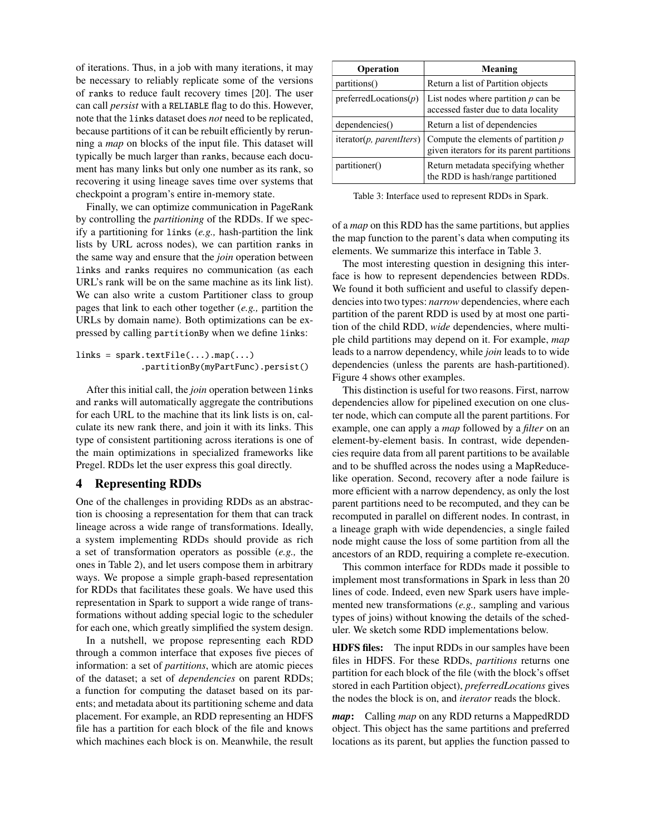of iterations. Thus, in a job with many iterations, it may be necessary to reliably replicate some of the versions of ranks to reduce fault recovery times [20]. The user can call *persist* with a RELIABLE flag to do this. However, note that the links dataset does *not* need to be replicated, because partitions of it can be rebuilt efficiently by rerunning a *map* on blocks of the input file. This dataset will typically be much larger than ranks, because each document has many links but only one number as its rank, so recovering it using lineage saves time over systems that checkpoint a program's entire in-memory state.

Finally, we can optimize communication in PageRank by controlling the *partitioning* of the RDDs. If we specify a partitioning for links (*e.g.,* hash-partition the link lists by URL across nodes), we can partition ranks in the same way and ensure that the *join* operation between links and ranks requires no communication (as each URL's rank will be on the same machine as its link list). We can also write a custom Partitioner class to group pages that link to each other together (*e.g.,* partition the URLs by domain name). Both optimizations can be expressed by calling partitionBy when we define links:

```
links = spark.textFile(...).map(...).partitionBy(myPartFunc).persist()
```
After this initial call, the *join* operation between links and ranks will automatically aggregate the contributions for each URL to the machine that its link lists is on, calculate its new rank there, and join it with its links. This type of consistent partitioning across iterations is one of the main optimizations in specialized frameworks like Pregel. RDDs let the user express this goal directly.

# 4 Representing RDDs

One of the challenges in providing RDDs as an abstraction is choosing a representation for them that can track lineage across a wide range of transformations. Ideally, a system implementing RDDs should provide as rich a set of transformation operators as possible (*e.g.,* the ones in Table 2), and let users compose them in arbitrary ways. We propose a simple graph-based representation for RDDs that facilitates these goals. We have used this representation in Spark to support a wide range of transformations without adding special logic to the scheduler for each one, which greatly simplified the system design.

In a nutshell, we propose representing each RDD through a common interface that exposes five pieces of information: a set of *partitions*, which are atomic pieces of the dataset; a set of *dependencies* on parent RDDs; a function for computing the dataset based on its parents; and metadata about its partitioning scheme and data placement. For example, an RDD representing an HDFS file has a partition for each block of the file and knows which machines each block is on. Meanwhile, the result

| Operation                 | Meaning                                                                            |
|---------------------------|------------------------------------------------------------------------------------|
| partitions()              | Return a list of Partition objects                                                 |
| preferred Locations $(p)$ | List nodes where partition $p$ can be<br>accessed faster due to data locality      |
| dependencies()            | Return a list of dependencies                                                      |
| iterator(p, parentIters)  | Compute the elements of partition $p$<br>given iterators for its parent partitions |
| partitioner()             | Return metadata specifying whether<br>the RDD is hash/range partitioned            |

Table 3: Interface used to represent RDDs in Spark.

of a *map* on this RDD has the same partitions, but applies the map function to the parent's data when computing its elements. We summarize this interface in Table 3.

The most interesting question in designing this interface is how to represent dependencies between RDDs. We found it both sufficient and useful to classify dependencies into two types: *narrow* dependencies, where each partition of the parent RDD is used by at most one partition of the child RDD, *wide* dependencies, where multiple child partitions may depend on it. For example, *map* leads to a narrow dependency, while *join* leads to to wide dependencies (unless the parents are hash-partitioned). Figure 4 shows other examples.

This distinction is useful for two reasons. First, narrow dependencies allow for pipelined execution on one cluster node, which can compute all the parent partitions. For example, one can apply a *map* followed by a *filter* on an element-by-element basis. In contrast, wide dependencies require data from all parent partitions to be available and to be shuffled across the nodes using a MapReducelike operation. Second, recovery after a node failure is more efficient with a narrow dependency, as only the lost parent partitions need to be recomputed, and they can be recomputed in parallel on different nodes. In contrast, in a lineage graph with wide dependencies, a single failed node might cause the loss of some partition from all the ancestors of an RDD, requiring a complete re-execution.

This common interface for RDDs made it possible to implement most transformations in Spark in less than 20 lines of code. Indeed, even new Spark users have implemented new transformations (*e.g.,* sampling and various types of joins) without knowing the details of the scheduler. We sketch some RDD implementations below.

HDFS files: The input RDDs in our samples have been files in HDFS. For these RDDs, *partitions* returns one partition for each block of the file (with the block's offset stored in each Partition object), *preferredLocations* gives the nodes the block is on, and *iterator* reads the block.

*map*: Calling *map* on any RDD returns a MappedRDD object. This object has the same partitions and preferred locations as its parent, but applies the function passed to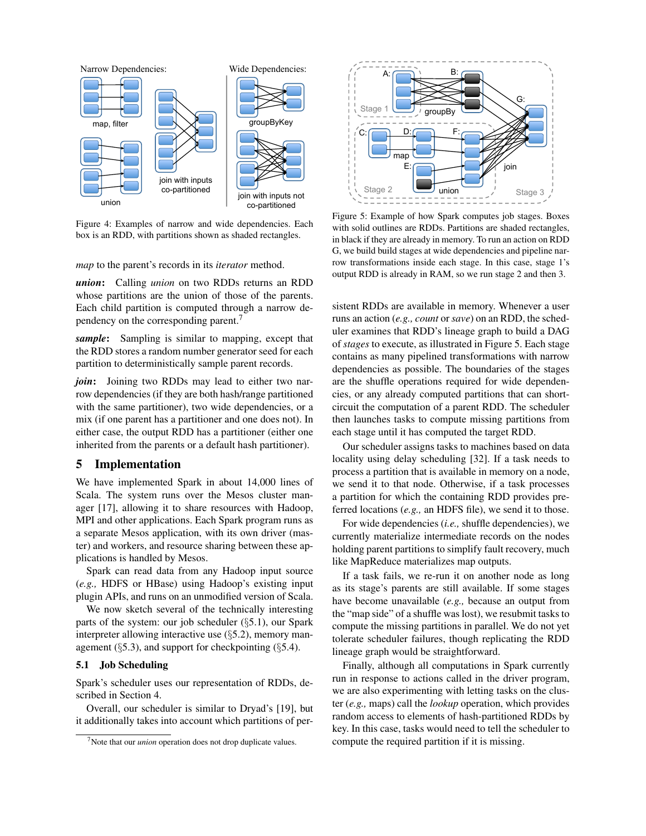

Figure 4: Examples of narrow and wide dependencies. Each box is an RDD, with partitions shown as shaded rectangles.

*map* to the parent's records in its *iterator* method.

*union*: Calling *union* on two RDDs returns an RDD whose partitions are the union of those of the parents. Each child partition is computed through a narrow dependency on the corresponding parent.<sup>7</sup>

*sample*: Sampling is similar to mapping, except that the RDD stores a random number generator seed for each partition to deterministically sample parent records.

*join*: Joining two RDDs may lead to either two narrow dependencies (if they are both hash/range partitioned with the same partitioner), two wide dependencies, or a mix (if one parent has a partitioner and one does not). In either case, the output RDD has a partitioner (either one inherited from the parents or a default hash partitioner).

# 5 Implementation

We have implemented Spark in about 14,000 lines of Scala. The system runs over the Mesos cluster manager [17], allowing it to share resources with Hadoop, MPI and other applications. Each Spark program runs as a separate Mesos application, with its own driver (master) and workers, and resource sharing between these applications is handled by Mesos.

Spark can read data from any Hadoop input source (*e.g.,* HDFS or HBase) using Hadoop's existing input plugin APIs, and runs on an unmodified version of Scala.

We now sketch several of the technically interesting parts of the system: our job scheduler (§5.1), our Spark interpreter allowing interactive use  $(\S$ 5.2), memory management ( $\S$ 5.3), and support for checkpointing ( $\S$ 5.4).

#### 5.1 Job Scheduling

Spark's scheduler uses our representation of RDDs, described in Section 4.

Overall, our scheduler is similar to Dryad's [19], but it additionally takes into account which partitions of per-



Figure 5: Example of how Spark computes job stages. Boxes with solid outlines are RDDs. Partitions are shaded rectangles, in black if they are already in memory. To run an action on RDD G, we build build stages at wide dependencies and pipeline narrow transformations inside each stage. In this case, stage 1's output RDD is already in RAM, so we run stage 2 and then 3.

**Physical control of the secondary and the secondary and the secondary and the secondary and the secondary and the secondary and the secondary and the secondary and the secondary and the secondary and the secondary and the** sistent RDDs are available in memory. Whenever a user runs an action (*e.g., count* or *save*) on an RDD, the scheduler examines that RDD's lineage graph to build a DAG of *stages* to execute, as illustrated in Figure 5. Each stage contains as many pipelined transformations with narrow dependencies as possible. The boundaries of the stages are the shuffle operations required for wide dependencies, or any already computed partitions that can shortcircuit the computation of a parent RDD. The scheduler then launches tasks to compute missing partitions from each stage until it has computed the target RDD.

Our scheduler assigns tasks to machines based on data locality using delay scheduling [32]. If a task needs to process a partition that is available in memory on a node, we send it to that node. Otherwise, if a task processes a partition for which the containing RDD provides preferred locations (*e.g.,* an HDFS file), we send it to those.

For wide dependencies (*i.e.,* shuffle dependencies), we currently materialize intermediate records on the nodes holding parent partitions to simplify fault recovery, much like MapReduce materializes map outputs.

If a task fails, we re-run it on another node as long as its stage's parents are still available. If some stages have become unavailable (*e.g.,* because an output from the "map side" of a shuffle was lost), we resubmit tasks to compute the missing partitions in parallel. We do not yet tolerate scheduler failures, though replicating the RDD lineage graph would be straightforward.

Finally, although all computations in Spark currently run in response to actions called in the driver program, we are also experimenting with letting tasks on the cluster (*e.g.,* maps) call the *lookup* operation, which provides random access to elements of hash-partitioned RDDs by key. In this case, tasks would need to tell the scheduler to compute the required partition if it is missing.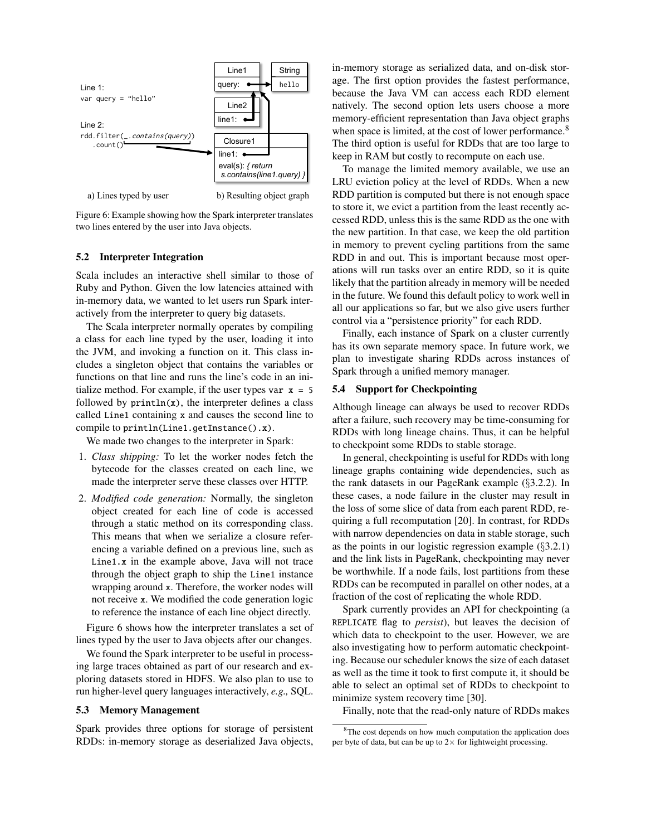

a) Lines typed by user b) Resulting object graph

Figure 6: Example showing how the Spark interpreter translates two lines entered by the user into Java objects.

### 5.2 Interpreter Integration

Scala includes an interactive shell similar to those of Ruby and Python. Given the low latencies attained with in-memory data, we wanted to let users run Spark interactively from the interpreter to query big datasets.

The Scala interpreter normally operates by compiling a class for each line typed by the user, loading it into the JVM, and invoking a function on it. This class includes a singleton object that contains the variables or functions on that line and runs the line's code in an initialize method. For example, if the user types var  $x = 5$ followed by  $print(n(x)$ , the interpreter defines a class called Line1 containing x and causes the second line to compile to println(Line1.getInstance().x).

We made two changes to the interpreter in Spark:

- 1. *Class shipping:* To let the worker nodes fetch the bytecode for the classes created on each line, we made the interpreter serve these classes over HTTP.
- 2. *Modified code generation:* Normally, the singleton object created for each line of code is accessed through a static method on its corresponding class. This means that when we serialize a closure referencing a variable defined on a previous line, such as Line1.x in the example above, Java will not trace through the object graph to ship the Line1 instance wrapping around x. Therefore, the worker nodes will not receive x. We modified the code generation logic to reference the instance of each line object directly.

Figure 6 shows how the interpreter translates a set of lines typed by the user to Java objects after our changes.

We found the Spark interpreter to be useful in processing large traces obtained as part of our research and exploring datasets stored in HDFS. We also plan to use to run higher-level query languages interactively, *e.g.,* SQL.

#### 5.3 Memory Management

Spark provides three options for storage of persistent RDDs: in-memory storage as deserialized Java objects, in-memory storage as serialized data, and on-disk storage. The first option provides the fastest performance, because the Java VM can access each RDD element natively. The second option lets users choose a more memory-efficient representation than Java object graphs when space is limited, at the cost of lower performance.<sup>8</sup> The third option is useful for RDDs that are too large to keep in RAM but costly to recompute on each use.

To manage the limited memory available, we use an LRU eviction policy at the level of RDDs. When a new RDD partition is computed but there is not enough space to store it, we evict a partition from the least recently accessed RDD, unless this is the same RDD as the one with the new partition. In that case, we keep the old partition in memory to prevent cycling partitions from the same RDD in and out. This is important because most operations will run tasks over an entire RDD, so it is quite likely that the partition already in memory will be needed in the future. We found this default policy to work well in all our applications so far, but we also give users further control via a "persistence priority" for each RDD.

Finally, each instance of Spark on a cluster currently has its own separate memory space. In future work, we plan to investigate sharing RDDs across instances of Spark through a unified memory manager.

### 5.4 Support for Checkpointing

Although lineage can always be used to recover RDDs after a failure, such recovery may be time-consuming for RDDs with long lineage chains. Thus, it can be helpful to checkpoint some RDDs to stable storage.

In general, checkpointing is useful for RDDs with long lineage graphs containing wide dependencies, such as the rank datasets in our PageRank example (§3.2.2). In these cases, a node failure in the cluster may result in the loss of some slice of data from each parent RDD, requiring a full recomputation [20]. In contrast, for RDDs with narrow dependencies on data in stable storage, such as the points in our logistic regression example  $(\S 3.2.1)$ and the link lists in PageRank, checkpointing may never be worthwhile. If a node fails, lost partitions from these RDDs can be recomputed in parallel on other nodes, at a fraction of the cost of replicating the whole RDD.

Spark currently provides an API for checkpointing (a REPLICATE flag to *persist*), but leaves the decision of which data to checkpoint to the user. However, we are also investigating how to perform automatic checkpointing. Because our scheduler knows the size of each dataset as well as the time it took to first compute it, it should be able to select an optimal set of RDDs to checkpoint to minimize system recovery time [30].

Finally, note that the read-only nature of RDDs makes

<sup>8</sup>The cost depends on how much computation the application does per byte of data, but can be up to  $2 \times$  for lightweight processing.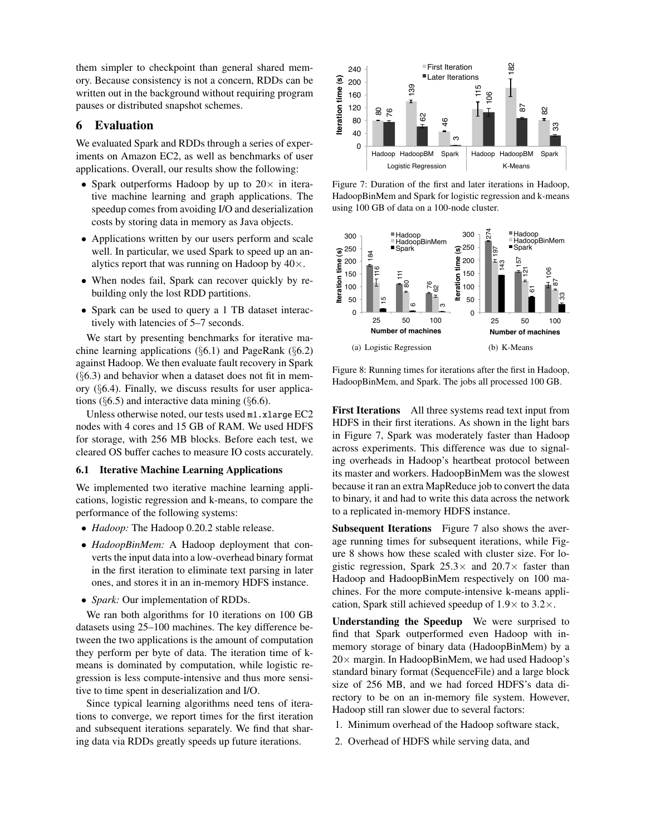them simpler to checkpoint than general shared memory. Because consistency is not a concern, RDDs can be written out in the background without requiring program pauses or distributed snapshot schemes.

### 6 Evaluation

We evaluated Spark and RDDs through a series of experiments on Amazon EC2, as well as benchmarks of user applications. Overall, our results show the following:

- Spark outperforms Hadoop by up to  $20 \times$  in iterative machine learning and graph applications. The speedup comes from avoiding I/O and deserialization costs by storing data in memory as Java objects.
- Applications written by our users perform and scale well. In particular, we used Spark to speed up an analytics report that was running on Hadoop by  $40\times$ .
- When nodes fail, Spark can recover quickly by rebuilding only the lost RDD partitions.
- Spark can be used to query a 1 TB dataset interactively with latencies of 5–7 seconds.

We start by presenting benchmarks for iterative machine learning applications  $(\S6.1)$  and PageRank  $(\S6.2)$ against Hadoop. We then evaluate fault recovery in Spark  $(\S6.3)$  and behavior when a dataset does not fit in memory (§6.4). Finally, we discuss results for user applications ( $\S 6.5$ ) and interactive data mining ( $\S 6.6$ ).

Unless otherwise noted, our tests used m1.xlarge EC2 nodes with 4 cores and 15 GB of RAM. We used HDFS for storage, with 256 MB blocks. Before each test, we cleared OS buffer caches to measure IO costs accurately.

#### 6.1 Iterative Machine Learning Applications

We implemented two iterative machine learning applications, logistic regression and k-means, to compare the performance of the following systems:

- *Hadoop:* The Hadoop 0.20.2 stable release.
- *HadoopBinMem:* A Hadoop deployment that converts the input data into a low-overhead binary format in the first iteration to eliminate text parsing in later ones, and stores it in an in-memory HDFS instance.
- *Spark:* Our implementation of RDDs.

We ran both algorithms for 10 iterations on 100 GB datasets using 25–100 machines. The key difference between the two applications is the amount of computation they perform per byte of data. The iteration time of kmeans is dominated by computation, while logistic regression is less compute-intensive and thus more sensitive to time spent in deserialization and I/O.

Since typical learning algorithms need tens of iterations to converge, we report times for the first iteration and subsequent iterations separately. We find that shar-



Figure 7: Duration of the first and later iterations in Hadoop, HadoopBinMem and Spark for logistic regression and k-means using 100 GB of data on a 100-node cluster.



Figure 8: Running times for iterations after the first in Hadoop, HadoopBinMem, and Spark. The jobs all processed 100 GB.

First Iterations All three systems read text input from HDFS in their first iterations. As shown in the light bars in Figure 7, Spark was moderately faster than Hadoop across experiments. This difference was due to signaling overheads in Hadoop's heartbeat protocol between its master and workers. HadoopBinMem was the slowest because it ran an extra MapReduce job to convert the data to binary, it and had to write this data across the network to a replicated in-memory HDFS instance.

Subsequent Iterations Figure 7 also shows the average running times for subsequent iterations, while Figure 8 shows how these scaled with cluster size. For logistic regression, Spark  $25.3\times$  and  $20.7\times$  faster than Hadoop and HadoopBinMem respectively on 100 machines. For the more compute-intensive k-means application, Spark still achieved speedup of  $1.9 \times$  to  $3.2 \times$ .

Understanding the Speedup We were surprised to find that Spark outperformed even Hadoop with inmemory storage of binary data (HadoopBinMem) by a  $20 \times$  margin. In HadoopBinMem, we had used Hadoop's standard binary format (SequenceFile) and a large block size of 256 MB, and we had forced HDFS's data directory to be on an in-memory file system. However, Hadoop still ran slower due to several factors:

- 1. Minimum overhead of the Hadoop software stack,
- 2. Overhead of HDFS while serving data, and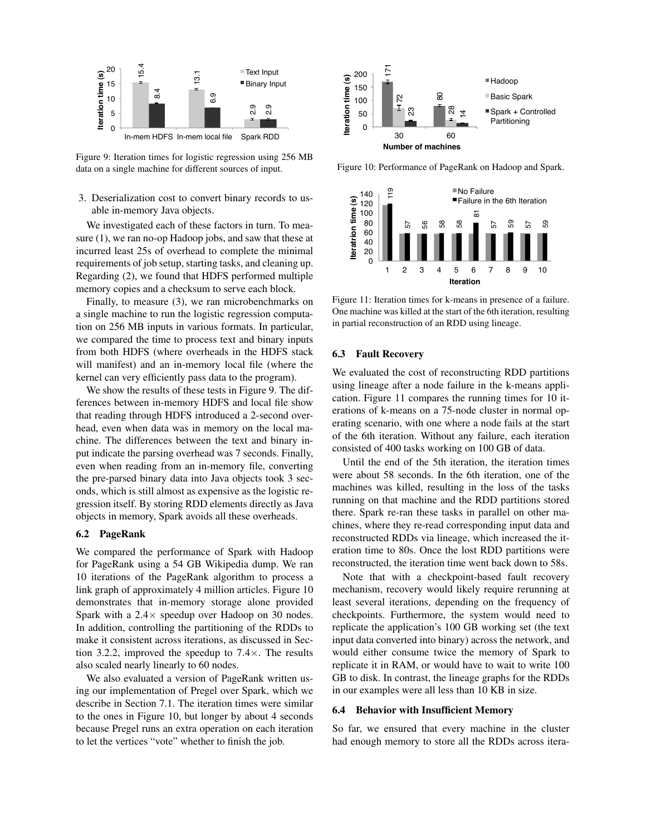

Figure 9: Iteration times for logistic regression using 256 MB data on a single machine for different sources of input.

# 3. Deserialization cost to convert binary records to usable in-memory Java objects.

We investigated each of these factors in turn. To measure (1), we ran no-op Hadoop jobs, and saw that these at incurred least 25s of overhead to complete the minimal requirements of job setup, starting tasks, and cleaning up. Regarding (2), we found that HDFS performed multiple memory copies and a checksum to serve each block.

Finally, to measure (3), we ran microbenchmarks on a single machine to run the logistic regression computation on 256 MB inputs in various formats. In particular, we compared the time to process text and binary inputs from both HDFS (where overheads in the HDFS stack will manifest) and an in-memory local file (where the kernel can very efficiently pass data to the program).

We show the results of these tests in Figure 9. The differences between in-memory HDFS and local file show that reading through HDFS introduced a 2-second overhead, even when data was in memory on the local machine. The differences between the text and binary input indicate the parsing overhead was 7 seconds. Finally, even when reading from an in-memory file, converting the pre-parsed binary data into Java objects took 3 seconds, which is still almost as expensive as the logistic regression itself. By storing RDD elements directly as Java objects in memory, Spark avoids all these overheads. **Example 12 E**<br> **Example 14**<br> **Example 14**<br> **Example 14**<br> **Example 14**<br> **Example 14**<br> **Example 14**<br> **Example 14**<br> **Example 14**<br> **Example 14**<br> **Example 14**<br> **Example 14**<br> **Example 14**<br> **Example 14**<br> **Example 14**<br> **Exampl** 

#### 6.2 PageRank

We compared the performance of Spark with Hadoop for PageRank using a 54 GB Wikipedia dump. We ran 10 iterations of the PageRank algorithm to process a link graph of approximately 4 million articles. Figure 10 demonstrates that in-memory storage alone provided Spark with a  $2.4 \times$  speedup over Hadoop on 30 nodes. In addition, controlling the partitioning of the RDDs to make it consistent across iterations, as discussed in Section 3.2.2, improved the speedup to  $7.4\times$ . The results also scaled nearly linearly to 60 nodes.

We also evaluated a version of PageRank written using our implementation of Pregel over Spark, which we describe in Section 7.1. The iteration times were similar to the ones in Figure 10, but longer by about 4 seconds because Pregel runs an extra operation on each iteration



Figure 10: Performance of PageRank on Hadoop and Spark.



Figure 11: Iteration times for k-means in presence of a failure. One machine was killed at the start of the 6th iteration, resulting in partial reconstruction of an RDD using lineage.

#### 6.3 Fault Recovery

We evaluated the cost of reconstructing RDD partitions using lineage after a node failure in the k-means application. Figure 11 compares the running times for 10 iterations of k-means on a 75-node cluster in normal operating scenario, with one where a node fails at the start of the 6th iteration. Without any failure, each iteration consisted of 400 tasks working on 100 GB of data.

Until the end of the 5th iteration, the iteration times were about 58 seconds. In the 6th iteration, one of the machines was killed, resulting in the loss of the tasks running on that machine and the RDD partitions stored there. Spark re-ran these tasks in parallel on other machines, where they re-read corresponding input data and reconstructed RDDs via lineage, which increased the iteration time to 80s. Once the lost RDD partitions were reconstructed, the iteration time went back down to 58s.

Note that with a checkpoint-based fault recovery mechanism, recovery would likely require rerunning at least several iterations, depending on the frequency of checkpoints. Furthermore, the system would need to replicate the application's 100 GB working set (the text input data converted into binary) across the network, and would either consume twice the memory of Spark to replicate it in RAM, or would have to wait to write 100 GB to disk. In contrast, the lineage graphs for the RDDs in our examples were all less than 10 KB in size.

#### 6.4 Behavior with Insufficient Memory

So far, we ensured that every machine in the cluster had enough memory to store all the RDDs across itera-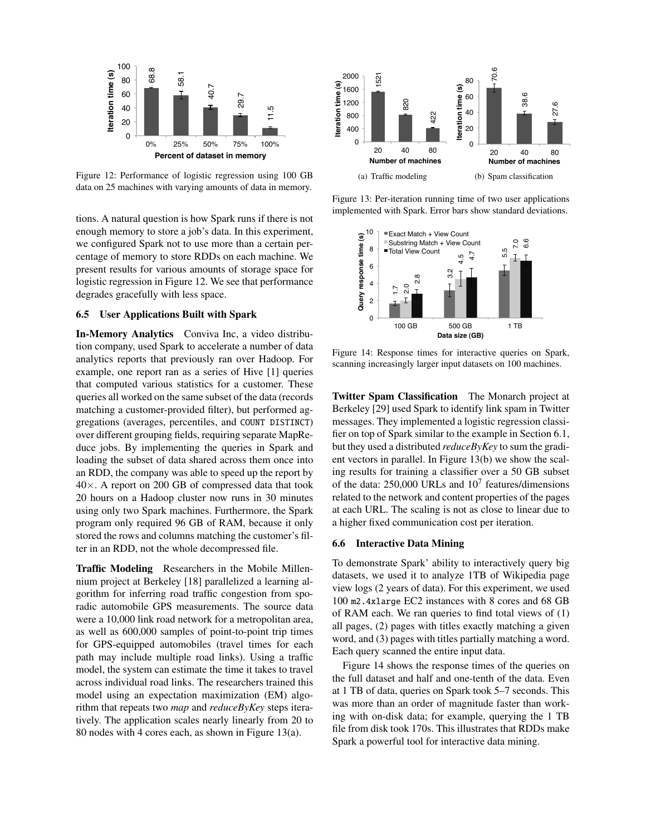

Figure 12: Performance of logistic regression using 100 GB data on 25 machines with varying amounts of data in memory.

tions. A natural question is how Spark runs if there is not enough memory to store a job's data. In this experiment, we configured Spark not to use more than a certain percentage of memory to store RDDs on each machine. We present results for various amounts of storage space for logistic regression in Figure 12. We see that performance degrades gracefully with less space.

#### 6.5 User Applications Built with Spark

In-Memory Analytics Conviva Inc, a video distribution company, used Spark to accelerate a number of data analytics reports that previously ran over Hadoop. For example, one report ran as a series of Hive [1] queries that computed various statistics for a customer. These queries all worked on the same subset of the data (records matching a customer-provided filter), but performed aggregations (averages, percentiles, and COUNT DISTINCT) over different grouping fields, requiring separate MapReduce jobs. By implementing the queries in Spark and loading the subset of data shared across them once into an RDD, the company was able to speed up the report by 40×. A report on 200 GB of compressed data that took 20 hours on a Hadoop cluster now runs in 30 minutes using only two Spark machines. Furthermore, the Spark program only required 96 GB of RAM, because it only stored the rows and columns matching the customer's filter in an RDD, not the whole decompressed file. **EVALUAT CONSULTER CONSULTER CONSULTER CONSULTER (SEE THE SEE THE SEE THE SEE THE SEE THE SEE THE SEE THE SEE THE SEE THE SEE THE SEE THE SEE THE SEE THE SEE THE SEE THE SEE THE SEE THE SEE THE SEE THE SEE THE SEE THE SEE** 

Traffic Modeling Researchers in the Mobile Millennium project at Berkeley [18] parallelized a learning algorithm for inferring road traffic congestion from sporadic automobile GPS measurements. The source data were a 10,000 link road network for a metropolitan area, as well as 600,000 samples of point-to-point trip times for GPS-equipped automobiles (travel times for each path may include multiple road links). Using a traffic model, the system can estimate the time it takes to travel across individual road links. The researchers trained this model using an expectation maximization (EM) algorithm that repeats two *map* and *reduceByKey* steps iteratively. The application scales nearly linearly from 20 to



Figure 13: Per-iteration running time of two user applications implemented with Spark. Error bars show standard deviations.



Figure 14: Response times for interactive queries on Spark, scanning increasingly larger input datasets on 100 machines.

Twitter Spam Classification The Monarch project at Berkeley [29] used Spark to identify link spam in Twitter messages. They implemented a logistic regression classifier on top of Spark similar to the example in Section 6.1, but they used a distributed *reduceByKey* to sum the gradient vectors in parallel. In Figure 13(b) we show the scaling results for training a classifier over a 50 GB subset of the data:  $250,000$  URLs and  $10<sup>7</sup>$  features/dimensions related to the network and content properties of the pages at each URL. The scaling is not as close to linear due to a higher fixed communication cost per iteration.

### 6.6 Interactive Data Mining

To demonstrate Spark' ability to interactively query big datasets, we used it to analyze 1TB of Wikipedia page view logs (2 years of data). For this experiment, we used 100 m2.4xlarge EC2 instances with 8 cores and 68 GB of RAM each. We ran queries to find total views of (1) all pages, (2) pages with titles exactly matching a given word, and (3) pages with titles partially matching a word. Each query scanned the entire input data.

Figure 14 shows the response times of the queries on the full dataset and half and one-tenth of the data. Even at 1 TB of data, queries on Spark took 5–7 seconds. This was more than an order of magnitude faster than working with on-disk data; for example, querying the 1 TB file from disk took 170s. This illustrates that RDDs make Spark a powerful tool for interactive data mining.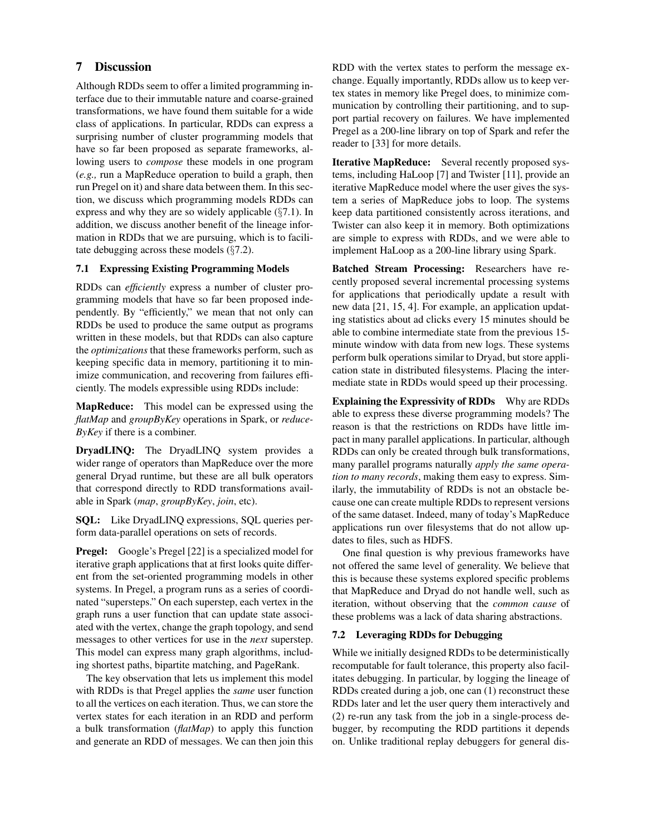# 7 Discussion

Although RDDs seem to offer a limited programming interface due to their immutable nature and coarse-grained transformations, we have found them suitable for a wide class of applications. In particular, RDDs can express a surprising number of cluster programming models that have so far been proposed as separate frameworks, allowing users to *compose* these models in one program (*e.g.,* run a MapReduce operation to build a graph, then run Pregel on it) and share data between them. In this section, we discuss which programming models RDDs can express and why they are so widely applicable (§7.1). In addition, we discuss another benefit of the lineage information in RDDs that we are pursuing, which is to facilitate debugging across these models (§7.2).

# 7.1 Expressing Existing Programming Models

RDDs can *efficiently* express a number of cluster programming models that have so far been proposed independently. By "efficiently," we mean that not only can RDDs be used to produce the same output as programs written in these models, but that RDDs can also capture the *optimizations* that these frameworks perform, such as keeping specific data in memory, partitioning it to minimize communication, and recovering from failures efficiently. The models expressible using RDDs include:

MapReduce: This model can be expressed using the *flatMap* and *groupByKey* operations in Spark, or *reduce-ByKey* if there is a combiner.

DryadLINQ: The DryadLINQ system provides a wider range of operators than MapReduce over the more general Dryad runtime, but these are all bulk operators that correspond directly to RDD transformations available in Spark (*map*, *groupByKey*, *join*, etc).

SQL: Like DryadLINQ expressions, SQL queries perform data-parallel operations on sets of records.

Pregel: Google's Pregel [22] is a specialized model for iterative graph applications that at first looks quite different from the set-oriented programming models in other systems. In Pregel, a program runs as a series of coordinated "supersteps." On each superstep, each vertex in the graph runs a user function that can update state associated with the vertex, change the graph topology, and send messages to other vertices for use in the *next* superstep. This model can express many graph algorithms, including shortest paths, bipartite matching, and PageRank.

The key observation that lets us implement this model with RDDs is that Pregel applies the *same* user function to all the vertices on each iteration. Thus, we can store the vertex states for each iteration in an RDD and perform a bulk transformation (*flatMap*) to apply this function and generate an RDD of messages. We can then join this RDD with the vertex states to perform the message exchange. Equally importantly, RDDs allow us to keep vertex states in memory like Pregel does, to minimize communication by controlling their partitioning, and to support partial recovery on failures. We have implemented Pregel as a 200-line library on top of Spark and refer the reader to [33] for more details.

Iterative MapReduce: Several recently proposed systems, including HaLoop [7] and Twister [11], provide an iterative MapReduce model where the user gives the system a series of MapReduce jobs to loop. The systems keep data partitioned consistently across iterations, and Twister can also keep it in memory. Both optimizations are simple to express with RDDs, and we were able to implement HaLoop as a 200-line library using Spark.

Batched Stream Processing: Researchers have recently proposed several incremental processing systems for applications that periodically update a result with new data [21, 15, 4]. For example, an application updating statistics about ad clicks every 15 minutes should be able to combine intermediate state from the previous 15 minute window with data from new logs. These systems perform bulk operations similar to Dryad, but store application state in distributed filesystems. Placing the intermediate state in RDDs would speed up their processing.

Explaining the Expressivity of RDDs Why are RDDs able to express these diverse programming models? The reason is that the restrictions on RDDs have little impact in many parallel applications. In particular, although RDDs can only be created through bulk transformations, many parallel programs naturally *apply the same operation to many records*, making them easy to express. Similarly, the immutability of RDDs is not an obstacle because one can create multiple RDDs to represent versions of the same dataset. Indeed, many of today's MapReduce applications run over filesystems that do not allow updates to files, such as HDFS.

One final question is why previous frameworks have not offered the same level of generality. We believe that this is because these systems explored specific problems that MapReduce and Dryad do not handle well, such as iteration, without observing that the *common cause* of these problems was a lack of data sharing abstractions.

# 7.2 Leveraging RDDs for Debugging

While we initially designed RDDs to be deterministically recomputable for fault tolerance, this property also facilitates debugging. In particular, by logging the lineage of RDDs created during a job, one can (1) reconstruct these RDDs later and let the user query them interactively and (2) re-run any task from the job in a single-process debugger, by recomputing the RDD partitions it depends on. Unlike traditional replay debuggers for general dis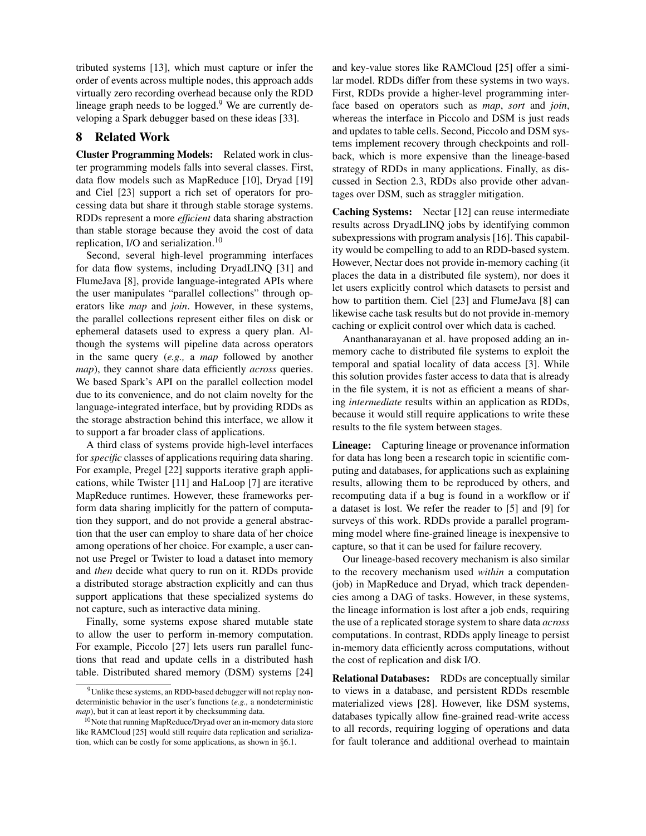tributed systems [13], which must capture or infer the order of events across multiple nodes, this approach adds virtually zero recording overhead because only the RDD lineage graph needs to be  $logged.<sup>9</sup>$  We are currently developing a Spark debugger based on these ideas [33].

# 8 Related Work

Cluster Programming Models: Related work in cluster programming models falls into several classes. First, data flow models such as MapReduce [10], Dryad [19] and Ciel [23] support a rich set of operators for processing data but share it through stable storage systems. RDDs represent a more *efficient* data sharing abstraction than stable storage because they avoid the cost of data replication, I/O and serialization.<sup>10</sup>

Second, several high-level programming interfaces for data flow systems, including DryadLINQ [31] and FlumeJava [8], provide language-integrated APIs where the user manipulates "parallel collections" through operators like *map* and *join*. However, in these systems, the parallel collections represent either files on disk or ephemeral datasets used to express a query plan. Although the systems will pipeline data across operators in the same query (*e.g.,* a *map* followed by another *map*), they cannot share data efficiently *across* queries. We based Spark's API on the parallel collection model due to its convenience, and do not claim novelty for the language-integrated interface, but by providing RDDs as the storage abstraction behind this interface, we allow it to support a far broader class of applications.

A third class of systems provide high-level interfaces for *specific* classes of applications requiring data sharing. For example, Pregel [22] supports iterative graph applications, while Twister [11] and HaLoop [7] are iterative MapReduce runtimes. However, these frameworks perform data sharing implicitly for the pattern of computation they support, and do not provide a general abstraction that the user can employ to share data of her choice among operations of her choice. For example, a user cannot use Pregel or Twister to load a dataset into memory and *then* decide what query to run on it. RDDs provide a distributed storage abstraction explicitly and can thus support applications that these specialized systems do not capture, such as interactive data mining.

Finally, some systems expose shared mutable state to allow the user to perform in-memory computation. For example, Piccolo [27] lets users run parallel functions that read and update cells in a distributed hash table. Distributed shared memory (DSM) systems [24] and key-value stores like RAMCloud [25] offer a similar model. RDDs differ from these systems in two ways. First, RDDs provide a higher-level programming interface based on operators such as *map*, *sort* and *join*, whereas the interface in Piccolo and DSM is just reads and updates to table cells. Second, Piccolo and DSM systems implement recovery through checkpoints and rollback, which is more expensive than the lineage-based strategy of RDDs in many applications. Finally, as discussed in Section 2.3, RDDs also provide other advantages over DSM, such as straggler mitigation.

Caching Systems: Nectar [12] can reuse intermediate results across DryadLINQ jobs by identifying common subexpressions with program analysis [16]. This capability would be compelling to add to an RDD-based system. However, Nectar does not provide in-memory caching (it places the data in a distributed file system), nor does it let users explicitly control which datasets to persist and how to partition them. Ciel [23] and FlumeJava [8] can likewise cache task results but do not provide in-memory caching or explicit control over which data is cached.

Ananthanarayanan et al. have proposed adding an inmemory cache to distributed file systems to exploit the temporal and spatial locality of data access [3]. While this solution provides faster access to data that is already in the file system, it is not as efficient a means of sharing *intermediate* results within an application as RDDs, because it would still require applications to write these results to the file system between stages.

Lineage: Capturing lineage or provenance information for data has long been a research topic in scientific computing and databases, for applications such as explaining results, allowing them to be reproduced by others, and recomputing data if a bug is found in a workflow or if a dataset is lost. We refer the reader to [5] and [9] for surveys of this work. RDDs provide a parallel programming model where fine-grained lineage is inexpensive to capture, so that it can be used for failure recovery.

Our lineage-based recovery mechanism is also similar to the recovery mechanism used *within* a computation (job) in MapReduce and Dryad, which track dependencies among a DAG of tasks. However, in these systems, the lineage information is lost after a job ends, requiring the use of a replicated storage system to share data *across* computations. In contrast, RDDs apply lineage to persist in-memory data efficiently across computations, without the cost of replication and disk I/O.

Relational Databases: RDDs are conceptually similar to views in a database, and persistent RDDs resemble materialized views [28]. However, like DSM systems, databases typically allow fine-grained read-write access to all records, requiring logging of operations and data for fault tolerance and additional overhead to maintain

<sup>&</sup>lt;sup>9</sup>Unlike these systems, an RDD-based debugger will not replay nondeterministic behavior in the user's functions (*e.g.,* a nondeterministic *map*), but it can at least report it by checksumming data.

<sup>&</sup>lt;sup>10</sup>Note that running MapReduce/Dryad over an in-memory data store like RAMCloud [25] would still require data replication and serialization, which can be costly for some applications, as shown in §6.1.